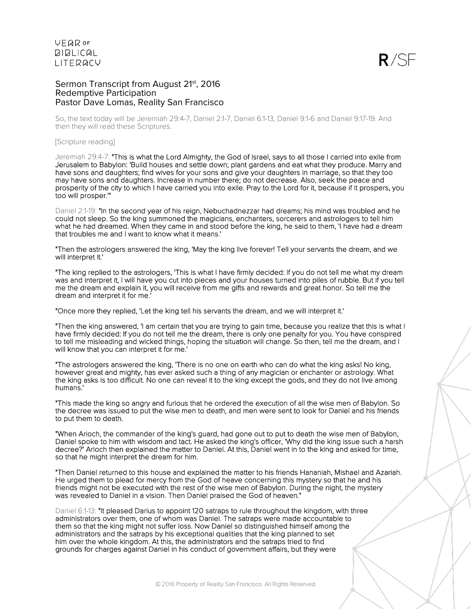$R/SF$ 

#### Sermon Transcript from August 21<sup>st</sup>, 2016 Redemptive Participation Pastor Dave Lomas, Reality San Francisco

So, the text today will be Jeremiah 29:4-7, Daniel 2:1-7, Daniel 6:1-13, Daniel 9:1-6 and Daniel 9:17-19. And then they will read these Scriptures.

[Scripture reading]

Jeremiah 29:4-7: "This is what the Lord Almighty, the God of Israel, says to all those I carried into exile from Jerusalem to Babylon: 'Build houses and settle down; plant gardens and eat what they produce. Marry and have sons and daughters; find wives for your sons and give your daughters in marriage, so that they too may have sons and daughters. Increase in number there; do not decrease. Also, seek the peace and prosperity of the city to which I have carried you into exile. Pray to the Lord for it, because if it prospers, you too will prosper.'"

Daniel 2:1-19: "In the second year of his reign, Nebuchadnezzar had dreams; his mind was troubled and he could not sleep. So the king summoned the magicians, enchanters, sorcerers and astrologers to tell him what he had dreamed. When they came in and stood before the king, he said to them, 'I have had a dream that troubles me and I want to know what it means.'

"Then the astrologers answered the king, 'May the king live forever! Tell your servants the dream, and we will interpret it.'

"The king replied to the astrologers, 'This is what I have firmly decided: If you do not tell me what my dream was and interpret it, I will have you cut into pieces and your houses turned into piles of rubble. But if you tell me the dream and explain it, you will receive from me gifts and rewards and great honor. So tell me the dream and interpret it for me.'

"Once more they replied, 'Let the king tell his servants the dream, and we will interpret it.'

"Then the king answered, 'I am certain that you are trying to gain time, because you realize that this is what I have firmly decided: If you do not tell me the dream, there is only one penalty for you. You have conspired to tell me misleading and wicked things, hoping the situation will change. So then, tell me the dream, and I will know that you can interpret it for me.'

"The astrologers answered the king, 'There is no one on earth who can do what the king asks! No king, however great and mighty, has ever asked such a thing of any magician or enchanter or astrology. What the king asks is too difficult. No one can reveal it to the king except the gods, and they do not live among humans.'

"This made the king so angry and furious that he ordered the execution of all the wise men of Babylon. So the decree was issued to put the wise men to death, and men were sent to look for Daniel and his friends to put them to death.

"When Arioch, the commander of the king's guard, had gone out to put to death the wise men of Babylon, Daniel spoke to him with wisdom and tact. He asked the king's officer, 'Why did the king issue such a harsh decree?' Arioch then explained the matter to Daniel. At this, Daniel went in to the king and asked for time, so that he might interpret the dream for him.

"Then Daniel returned to this house and explained the matter to his friends Hananiah, Mishael and Azariah. He urged them to plead for mercy from the God of heave concerning this mystery so that he and his friends might not be executed with the rest of the wise men of Babylon. During the night, the mystery was revealed to Daniel in a vision. Then Daniel praised the God of heaven."

Daniel 6:1-13: "It pleased Darius to appoint 120 satraps to rule throughout the kingdom, with three administrators over them, one of whom was Daniel. The satraps were made accountable to them so that the king might not suffer loss. Now Daniel so distinguished himself among the administrators and the satraps by his exceptional qualities that the king planned to set him over the whole kingdom. At this, the administrators and the satraps tried to find grounds for charges against Daniel in his conduct of government affairs, but they were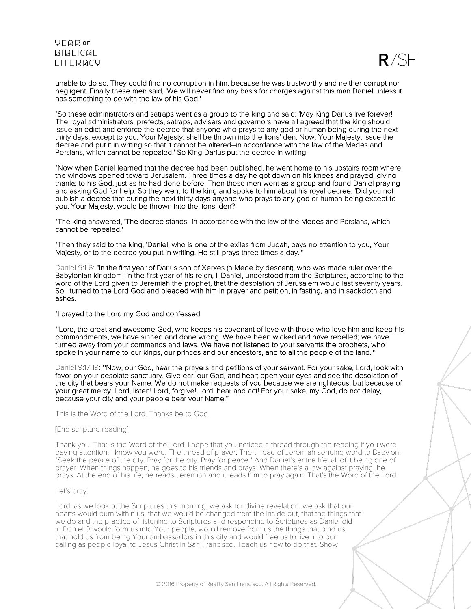

unable to do so. They could find no corruption in him, because he was trustworthy and neither corrupt nor negligent. Finally these men said, 'We will never find any basis for charges against this man Daniel unless it has something to do with the law of his God.'

"So these administrators and satraps went as a group to the king and said: 'May King Darius live forever! The royal administrators, prefects, satraps, advisers and governors have all agreed that the king should issue an edict and enforce the decree that anyone who prays to any god or human being during the next thirty days, except to you, Your Majesty, shall be thrown into the lions' den. Now, Your Majesty, issue the decree and put it in writing so that it cannot be altered–in accordance with the law of the Medes and Persians, which cannot be repealed.' So King Darius put the decree in writing.

"Now when Daniel learned that the decree had been published, he went home to his upstairs room where the windows opened toward Jerusalem. Three times a day he got down on his knees and prayed, giving thanks to his God, just as he had done before. Then these men went as a group and found Daniel praying and asking God for help. So they went to the king and spoke to him about his royal decree: 'Did you not publish a decree that during the next thirty days anyone who prays to any god or human being except to you, Your Majesty, would be thrown into the lions' den?'

"The king answered, 'The decree stands–in accordance with the law of the Medes and Persians, which cannot be repealed.'

"Then they said to the king, 'Daniel, who is one of the exiles from Judah, pays no attention to you, Your Majesty, or to the decree you put in writing. He still prays three times a day.'"

Daniel 9:1-6: "In the first year of Darius son of Xerxes (a Mede by descent), who was made ruler over the Babylonian kingdom–in the first year of his reign, I, Daniel, understood from the Scriptures, according to the word of the Lord given to Jeremiah the prophet, that the desolation of Jerusalem would last seventy years. So I turned to the Lord God and pleaded with him in prayer and petition, in fasting, and in sackcloth and ashes.

"I prayed to the Lord my God and confessed:

"'Lord, the great and awesome God, who keeps his covenant of love with those who love him and keep his commandments, we have sinned and done wrong. We have been wicked and have rebelled; we have turned away from your commands and laws. We have not listened to your servants the prophets, who spoke in your name to our kings, our princes and our ancestors, and to all the people of the land.'"

Daniel 9:17-19: "'Now, our God, hear the prayers and petitions of your servant. For your sake, Lord, look with favor on your desolate sanctuary. Give ear, our God, and hear; open your eyes and see the desolation of the city that bears your Name. We do not make requests of you because we are righteous, but because of your great mercy. Lord, listen! Lord, forgive! Lord, hear and act! For your sake, my God, do not delay, because your city and your people bear your Name.'"

This is the Word of the Lord. Thanks be to God.

#### [End scripture reading]

Thank you. That is the Word of the Lord. I hope that you noticed a thread through the reading if you were paying attention. I know you were. The thread of prayer. The thread of Jeremiah sending word to Babylon. "Seek the peace of the city. Pray for the city. Pray for peace." And Daniel's entire life, all of it being one of prayer. When things happen, he goes to his friends and prays. When there's a law against praying, he prays. At the end of his life, he reads Jeremiah and it leads him to pray again. That's the Word of the Lord.

#### Let's pray.

Lord, as we look at the Scriptures this morning, we ask for divine revelation, we ask that our hearts would burn within us, that we would be changed from the inside out, that the things that we do and the practice of listening to Scriptures and responding to Scriptures as Daniel did in Daniel 9 would form us into Your people, would remove from us the things that bind us, that hold us from being Your ambassadors in this city and would free us to live into our calling as people loyal to Jesus Christ in San Francisco. Teach us how to do that. Show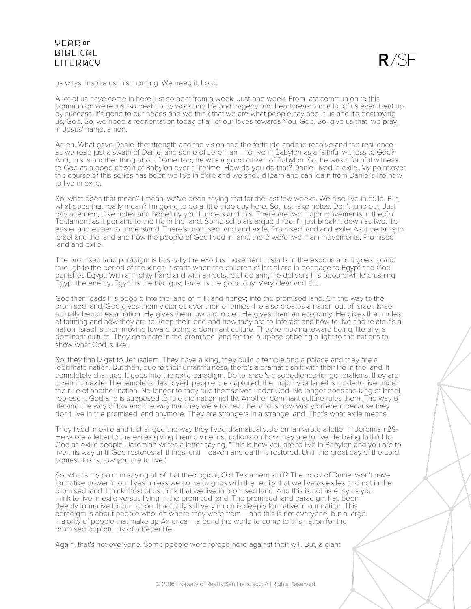

us ways. Inspire us this morning. We need it, Lord.

A lot of us have come in here just so beat from a week. Just one week. From last communion to this communion we're just so beat up by work and life and tragedy and heartbreak and a lot of us even beat up by success. It's gone to our heads and we think that we are what people say about us and it's destroying us, God. So, we need a reorientation today of all of our loves towards You, God. So, give us that, we pray, in Jesus' name, amen.

Amen. What gave Daniel the strength and the vision and the fortitude and the resolve and the resilience – as we read just a swath of Daniel and some of Jeremiah – to live in Babylon as a faithful witness to God? And, this is another thing about Daniel too, he was a good citizen of Babylon. So, he was a faithful witness to God as a good citizen of Babylon over a lifetime. How do you do that? Daniel lived in exile. My point over the course of this series has been we live in exile and we should learn and can learn from Daniel's life how to live in exile.

So, what does that mean? I mean, we've been saying that for the last few weeks. We also live in exile. But, what does that really mean? I'm going to do a little theology here. So, just take notes. Don't tune out. Just pay attention, take notes and hopefully you'll understand this. There are two major movements in the Old Testament as it pertains to the life in the land. Some scholars argue three. I'll just break it down as two. It's easier and easier to understand. There's promised land and exile. Promised land and exile. As it pertains to Israel and the land and how the people of God lived in land, there were two main movements. Promised land and exile.

The promised land paradigm is basically the exodus movement. It starts in the exodus and it goes to and through to the period of the kings. It starts when the children of Israel are in bondage to Egypt and God punishes Egypt. With a mighty hand and with an outstretched arm, He delivers His people while crushing Egypt the enemy. Egypt is the bad guy; Israel is the good guy. Very clear and cut.

God then leads His people into the land of milk and honey; into the promised land. On the way to the promised land, God gives them victories over their enemies. He also creates a nation out of Israel. Israel actually becomes a nation. He gives them law and order. He gives them an economy. He gives them rules of farming and how they are to keep their land and how they are to interact and how to live and relate as a nation. Israel is then moving toward being a dominant culture. They're moving toward being, literally, a dominant culture. They dominate in the promised land for the purpose of being a light to the nations to show what God is like.

So, they finally get to Jerusalem. They have a king, they build a temple and a palace and they are a legitimate nation. But then, due to their unfaithfulness, there's a dramatic shift with their life in the land. It completely changes. It goes into the exile paradigm. Do to Israel's disobedience for generations, they are taken into exile. The temple is destroyed, people are captured, the majority of Israel is made to live under the rule of another nation. No longer to they rule themselves under God. No longer does the king of Israel represent God and is supposed to rule the nation rightly. Another dominant culture rules them. The way of life and the way of law and the way that they were to treat the land is now vastly different because they don't live in the promised land anymore. They are strangers in a strange land. That's what exile means.

They lived in exile and it changed the way they lived dramatically. Jeremiah wrote a letter in Jeremiah 29. He wrote a letter to the exiles giving them divine instructions on how they are to live life being faithful to God as exilic people. Jeremiah writes a letter saying, "This is how you are to live in Babylon and you are to live this way until God restores all things; until heaven and earth is restored. Until the great day of the Lord comes, this is how you are to live."

So, what's my point in saying all of that theological, Old Testament stuff? The book of Daniel won't have formative power in our lives unless we come to grips with the reality that we live as exiles and not in the promised land. I think most of us think that we live in promised land. And this is not as easy as you think to live in exile versus living in the promised land. The promised land paradigm has been deeply formative to our nation. It actually still very much is deeply formative in our nation. This paradigm is about people who left where they were from – and this is not everyone, but a large majority of people that make up America – around the world to come to this nation for the promised opportunity of a better life.

Again, that's not everyone. Some people were forced here against their will. But, a giant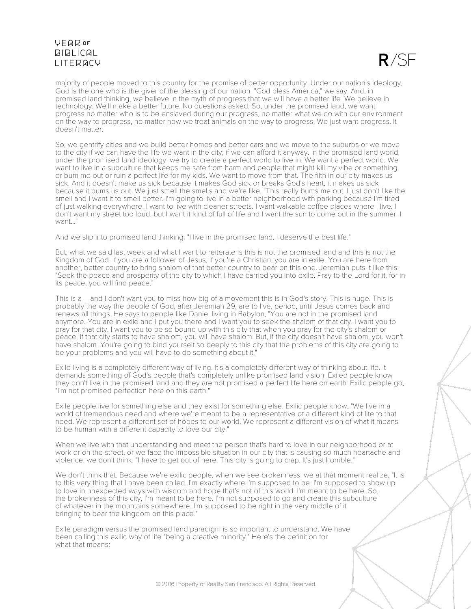

majority of people moved to this country for the promise of better opportunity. Under our nation's ideology, God is the one who is the giver of the blessing of our nation. "God bless America," we say. And, in promised land thinking, we believe in the myth of progress that we will have a better life. We believe in technology. We'll make a better future. No questions asked. So, under the promised land, we want progress no matter who is to be enslaved during our progress, no matter what we do with our environment on the way to progress, no matter how we treat animals on the way to progress. We just want progress. It doesn't matter.

So, we gentrify cities and we build better homes and better cars and we move to the suburbs or we move to the city if we can have the life we want in the city; if we can afford it anyway. In the promised land world, under the promised land ideology, we try to create a perfect world to live in. We want a perfect world. We want to live in a subculture that keeps me safe from harm and people that might kill my vibe or something or bum me out or ruin a perfect life for my kids. We want to move from that. The filth in our city makes us sick. And it doesn't make us sick because it makes God sick or breaks God's heart, it makes us sick because it bums us out. We just smell the smells and we're like, "This really bums me out. I just don't like the smell and I want it to smell better. I'm going to live in a better neighborhood with parking because I'm tired of just walking everywhere. I want to live with cleaner streets. I want walkable coffee places where I live. I don't want my street too loud, but I want it kind of full of life and I want the sun to come out in the summer. I want..."

And we slip into promised land thinking. "I live in the promised land. I deserve the best life."

But, what we said last week and what I want to reiterate is this is not the promised land and this is not the Kingdom of God. If you are a follower of Jesus, if you're a Christian, you are in exile. You are here from another, better country to bring shalom of that better country to bear on this one. Jeremiah puts it like this: "Seek the peace and prosperity of the city to which I have carried you into exile. Pray to the Lord for it, for in its peace, you will find peace."

This is a – and I don't want you to miss how big of a movement this is in God's story. This is huge. This is probably the way the people of God, after Jeremiah 29, are to live, period, until Jesus comes back and renews all things. He says to people like Daniel living in Babylon, "You are not in the promised land anymore. You are in exile and I put you there and I want you to seek the shalom of that city. I want you to pray for that city. I want you to be so bound up with this city that when you pray for the city's shalom or peace, if that city starts to have shalom, you will have shalom. But, if the city doesn't have shalom, you won't have shalom. You're going to bind yourself so deeply to this city that the problems of this city are going to be your problems and you will have to do something about it."

Exile living is a completely different way of living. It's a completely different way of thinking about life. It demands something of God's people that's completely unlike promised land vision. Exiled people know they don't live in the promised land and they are not promised a perfect life here on earth. Exilic people go, "I'm not promised perfection here on this earth."

Exile people live for something else and they exist for something else. Exilic people know, "We live in a world of tremendous need and where we're meant to be a representative of a different kind of life to that need. We represent a different set of hopes to our world. We represent a different vision of what it means to be human with a different capacity to love our city."

When we live with that understanding and meet the person that's hard to love in our neighborhood or at work or on the street, or we face the impossible situation in our city that is causing so much heartache and violence, we don't think, "I have to get out of here. This city is going to crap. It's just horrible."

We don't think that. Because we're exilic people, when we see brokenness, we at that moment realize, "It is to this very thing that I have been called. I'm exactly where I'm supposed to be. I'm supposed to show up to love in unexpected ways with wisdom and hope that's not of this world. I'm meant to be here. So, the brokenness of this city, I'm meant to be here. I'm not supposed to go and create this subculture of whatever in the mountains somewhere. I'm supposed to be right in the very middle of it bringing to bear the kingdom on this place."

Exile paradigm versus the promised land paradigm is so important to understand. We have been calling this exilic way of life "being a creative minority." Here's the definition for what that means: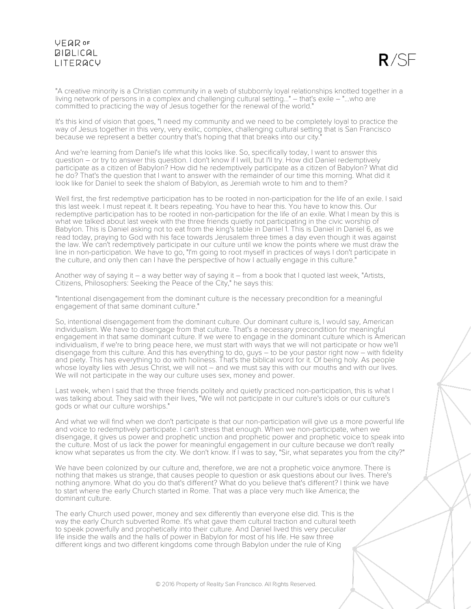$R/SE$ 

"A creative minority is a Christian community in a web of stubbornly loyal relationships knotted together in a living network of persons in a complex and challenging cultural setting..." – that's exile – "...who are committed to practicing the way of Jesus together for the renewal of the world."

It's this kind of vision that goes, "I need my community and we need to be completely loyal to practice the way of Jesus together in this very, very exilic, complex, challenging cultural setting that is San Francisco because we represent a better country that's hoping that that breaks into our city.

And we're learning from Daniel's life what this looks like. So, specifically today, I want to answer this question – or try to answer this question. I don't know if I will, but I'll try. How did Daniel redemptively participate as a citizen of Babylon? How did he redemptively participate as a citizen of Babylon? What did he do? That's the question that I want to answer with the remainder of our time this morning. What did it look like for Daniel to seek the shalom of Babylon, as Jeremiah wrote to him and to them?

Well first, the first redemptive participation has to be rooted in non-participation for the life of an exile. I said this last week. I must repeat it. It bears repeating. You have to hear this. You have to know this. Our redemptive participation has to be rooted in non-participation for the life of an exile. What I mean by this is what we talked about last week with the three friends quietly not participating in the civic worship of Babylon. This is Daniel asking not to eat from the king's table in Daniel 1. This is Daniel in Daniel 6, as we read today, praying to God with his face towards Jerusalem three times a day even though it was against the law. We can't redemptively participate in our culture until we know the points where we must draw the line in non-participation. We have to go, "I'm going to root myself in practices of ways I don't participate in the culture, and only then can I have the perspective of how I actually engage in this culture.

Another way of saying it – a way better way of saying it – from a book that I quoted last week, "Artists, Citizens, Philosophers: Seeking the Peace of the City," he says this:

"Intentional disengagement from the dominant culture is the necessary precondition for a meaningful engagement of that same dominant culture."

So, intentional disengagement from the dominant culture. Our dominant culture is, I would say, American individualism. We have to disengage from that culture. That's a necessary precondition for meaningful engagement in that same dominant culture. If we were to engage in the dominant culture which is American individualism, if we're to bring peace here, we must start with ways that we will not participate or how we'll disengage from this culture. And this has everything to do, guys – to be your pastor right now – with fidelity and piety. This has everything to do with holiness. That's the biblical word for it. Of being holy. As people whose loyalty lies with Jesus Christ, we will not – and we must say this with our mouths and with our lives. We will not participate in the way our culture uses sex, money and power.

Last week, when I said that the three friends politely and quietly practiced non-participation, this is what I was talking about. They said with their lives, "We will not participate in our culture's idols or our culture's gods or what our culture worships."

And what we will find when we don't participate is that our non-participation will give us a more powerful life and voice to redemptively participate. I can't stress that enough. When we non-participate, when we disengage, it gives us power and prophetic unction and prophetic power and prophetic voice to speak into the culture. Most of us lack the power for meaningful engagement in our culture because we don't really know what separates us from the city. We don't know. If I was to say, "Sir, what separates you from the city?"

We have been colonized by our culture and, therefore, we are not a prophetic voice anymore. There is nothing that makes us strange, that causes people to question or ask questions about our lives. There's nothing anymore. What do you do that's different? What do you believe that's different? I think we have to start where the early Church started in Rome. That was a place very much like America; the dominant culture.

The early Church used power, money and sex differently than everyone else did. This is the way the early Church subverted Rome. It's what gave them cultural traction and cultural teeth to speak powerfully and prophetically into their culture. And Daniel lived this very peculiar life inside the walls and the halls of power in Babylon for most of his life. He saw three different kings and two different kingdoms come through Babylon under the rule of King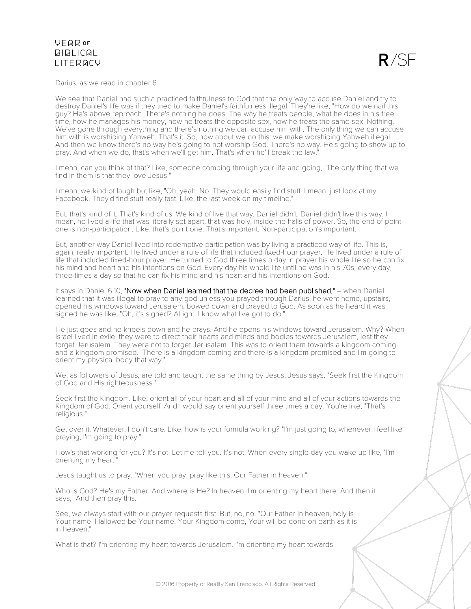

Darius, as we read in chapter 6.

We see that Daniel had such a practiced faithfulness to God that the only way to accuse Daniel and try to destroy Daniel's life was if they tried to make Daniel's faithfulness illegal. They're like, "How do we nail this guy? He's above reproach. There's nothing he does. The way he treats people, what he does in his free time, how he manages his money, how he treats the opposite sex, how he treats the same sex. Nothing. We've gone through everything and there's nothing we can accuse him with. The only thing we can accuse him with is worshiping Yahweh. That's it. So, how about we do this: we make worshiping Yahweh illegal. And then we know there's no way he's going to not worship God. There's no way. He's going to show up to pray. And when we do, that's when we'll get him. That's when he'll break the law."

I mean, can you think of that? Like, someone combing through your life and going, "The only thing that we find in them is that they love Jesus."

I mean, we kind of laugh but like, "Oh, yeah. No. They would easily find stuff. I mean, just look at my Facebook. They'd find stuff really fast. Like, the last week on my timeline."

But, that's kind of it. That's kind of us. We kind of live that way. Daniel didn't. Daniel didn't live this way. I mean, he lived a life that was literally set apart, that was holy, inside the halls of power. So, the end of point one is non-participation. Like, that's point one. That's important. Non-participation's important.

But, another way Daniel lived into redemptive participation was by living a practiced way of life. This is, again, really important. He lived under a rule of life that included fixed-hour prayer. He lived under a rule of life that included fixed-hour prayer. He turned to God three times a day in prayer his whole life so he can fix his mind and heart and his intentions on God. Every day his whole life until he was in his 70s, every day, three times a day so that he can fix his mind and his heart and his intentions on God.

It says in Daniel 6:10, "Now when Daniel learned that the decree had been published," - when Daniel learned that it was illegal to pray to any god unless you prayed through Darius, he went home, upstairs, opened his windows toward Jerusalem, bowed down and prayed to God. As soon as he heard it was signed he was like, "Oh, it's signed? Alright. I know what I've got to do."

He just goes and he kneels down and he prays. And he opens his windows toward Jerusalem. Why? When Israel lived in exile, they were to direct their hearts and minds and bodies towards Jerusalem, lest they forget Jerusalem. They were not to forget Jerusalem. This was to orient them towards a kingdom coming and a kingdom promised. "There is a kingdom coming and there is a kingdom promised and I'm going to orient my physical body that way."

We, as followers of Jesus, are told and taught the same thing by Jesus. Jesus says, "Seek first the Kingdom of God and His righteousness."

Seek first the Kingdom. Like, orient all of your heart and all of your mind and all of your actions towards the Kingdom of God. Orient yourself. And I would say orient yourself three times a day. You're like, "That's religious."

Get over it. Whatever. I don't care. Like, how is your formula working? "I'm just going to, whenever I feel like praying, I'm going to pray."

How's that working for you? It's not. Let me tell you. It's not. When every single day you wake up like, "I'm orienting my heart."

Jesus taught us to pray. "When you pray, pray like this: Our Father in heaven."

Who is God? He's my Father. And where is He? In heaven. I'm orienting my heart there. And then it says, "And then pray this."

See, we always start with our prayer requests first. But, no, no. "Our Father in heaven, holy is Your name. Hallowed be Your name. Your Kingdom come, Your will be done on earth as it is in heaven."

What is that? I'm orienting my heart towards Jerusalem. I'm orienting my heart towards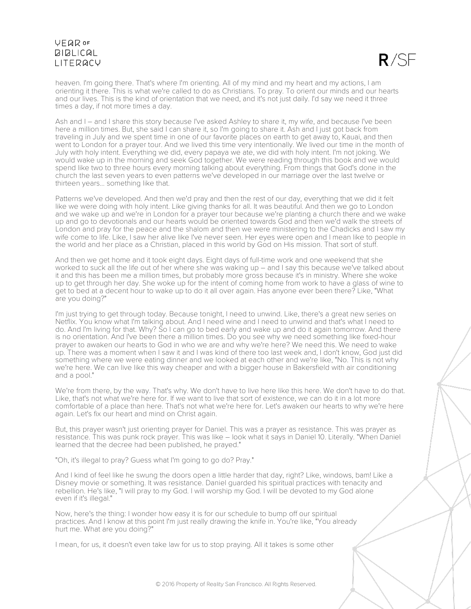$R/SF$ 

heaven. I'm going there. That's where I'm orienting. All of my mind and my heart and my actions, I am orienting it there. This is what we're called to do as Christians. To pray. To orient our minds and our hearts and our lives. This is the kind of orientation that we need, and it's not just daily. I'd say we need it three times a day, if not more times a day.

Ash and I – and I share this story because I've asked Ashley to share it, my wife, and because I've been here a million times. But, she said I can share it, so I'm going to share it. Ash and I just got back from traveling in July and we spent time in one of our favorite places on earth to get away to, Kauai, and then went to London for a prayer tour. And we lived this time very intentionally. We lived our time in the month of July with holy intent. Everything we did, every papaya we ate, we did with holy intent. I'm not joking. We would wake up in the morning and seek God together. We were reading through this book and we would spend like two to three hours every morning talking about everything. From things that God's done in the church the last seven years to even patterns we've developed in our marriage over the last twelve or thirteen years... something like that.

Patterns we've developed. And then we'd pray and then the rest of our day, everything that we did it felt like we were doing with holy intent. Like giving thanks for all. It was beautiful. And then we go to London and we wake up and we're in London for a prayer tour because we're planting a church there and we wake up and go to devotionals and our hearts would be oriented towards God and then we'd walk the streets of London and pray for the peace and the shalom and then we were ministering to the Chadicks and I saw my wife come to life. Like, I saw her alive like I've never seen. Her eyes were open and I mean like to people in the world and her place as a Christian, placed in this world by God on His mission. That sort of stuff.

And then we get home and it took eight days. Eight days of full-time work and one weekend that she worked to suck all the life out of her where she was waking up – and I say this because we've talked about it and this has been me a million times, but probably more gross because it's in ministry. Where she woke up to get through her day. She woke up for the intent of coming home from work to have a glass of wine to get to bed at a decent hour to wake up to do it all over again. Has anyone ever been there? Like, "What are you doing?"

I'm just trying to get through today. Because tonight, I need to unwind. Like, there's a great new series on Netflix. You know what I'm talking about. And I need wine and I need to unwind and that's what I need to do. And I'm living for that. Why? So I can go to bed early and wake up and do it again tomorrow. And there is no orientation. And I've been there a million times. Do you see why we need something like fixed-hour prayer to awaken our hearts to God in who we are and why we're here? We need this. We need to wake up. There was a moment when I saw it and I was kind of there too last week and, I don't know, God just did something where we were eating dinner and we looked at each other and we're like, "No. This is not why we're here. We can live like this way cheaper and with a bigger house in Bakersfield with air conditioning and a pool."

We're from there, by the way. That's why. We don't have to live here like this here. We don't have to do that. Like, that's not what we're here for. If we want to live that sort of existence, we can do it in a lot more comfortable of a place than here. That's not what we're here for. Let's awaken our hearts to why we're here again. Let's fix our heart and mind on Christ again.

But, this prayer wasn't just orienting prayer for Daniel. This was a prayer as resistance. This was prayer as resistance. This was punk rock prayer. This was like – look what it says in Daniel 10. Literally. "When Daniel learned that the decree had been published, he prayed."

"Oh, it's illegal to pray? Guess what I'm going to go do? Pray."

And I kind of feel like he swung the doors open a little harder that day, right? Like, windows, bam! Like a Disney movie or something. It was resistance. Daniel guarded his spiritual practices with tenacity and rebellion. He's like, "I will pray to my God. I will worship my God. I will be devoted to my God alone even if it's illegal."

Now, here's the thing: I wonder how easy it is for our schedule to bump off our spiritual practices. And I know at this point I'm just really drawing the knife in. You're like, "You already hurt me. What are you doing?"

I mean, for us, it doesn't even take law for us to stop praying. All it takes is some other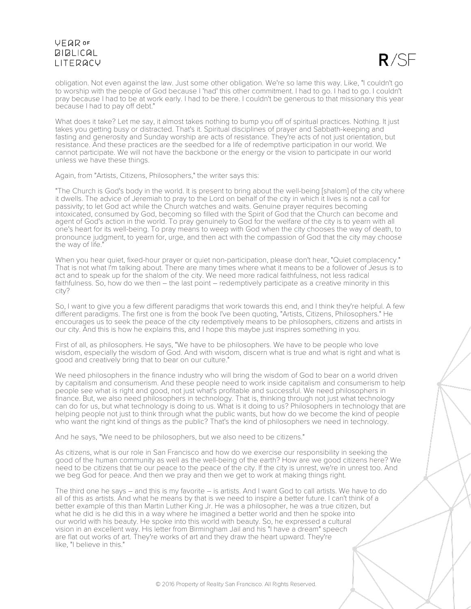

obligation. Not even against the law. Just some other obligation. We're so lame this way. Like, "I couldn't go to worship with the people of God because I 'had' this other commitment. I had to go. I had to go. I couldn't pray because I had to be at work early. I had to be there. I couldn't be generous to that missionary this year because I had to pay off debt."

What does it take? Let me say, it almost takes nothing to bump you off of spiritual practices. Nothing. It just takes you getting busy or distracted. That's it. Spiritual disciplines of prayer and Sabbath-keeping and fasting and generosity and Sunday worship are acts of resistance. They're acts of not just orientation, but resistance. And these practices are the seedbed for a life of redemptive participation in our world. We cannot participate. We will not have the backbone or the energy or the vision to participate in our world unless we have these things.

Again, from "Artists, Citizens, Philosophers," the writer says this:

"The Church is God's body in the world. It is present to bring about the well-being [shalom] of the city where it dwells. The advice of Jeremiah to pray to the Lord on behalf of the city in which it lives is not a call for passivity; to let God act while the Church watches and waits. Genuine prayer requires becoming intoxicated, consumed by God, becoming so filled with the Spirit of God that the Church can become and agent of God's action in the world. To pray genuinely to God for the welfare of the city is to yearn with all one's heart for its well-being. To pray means to weep with God when the city chooses the way of death, to pronounce judgment, to yearn for, urge, and then act with the compassion of God that the city may choose the way of life."

When you hear quiet, fixed-hour prayer or quiet non-participation, please don't hear, "Quiet complacency." That is not what I'm talking about. There are many times where what it means to be a follower of Jesus is to act and to speak up for the shalom of the city. We need more radical faithfulness, not less radical faithfulness. So, how do we then – the last point – redemptively participate as a creative minority in this city?

So, I want to give you a few different paradigms that work towards this end, and I think they're helpful. A few different paradigms. The first one is from the book I've been quoting, "Artists, Citizens, Philosophers." He encourages us to seek the peace of the city redemptively means to be philosophers, citizens and artists in our city. And this is how he explains this, and I hope this maybe just inspires something in you.

First of all, as philosophers. He says, "We have to be philosophers. We have to be people who love wisdom, especially the wisdom of God. And with wisdom, discern what is true and what is right and what is good and creatively bring that to bear on our culture."

We need philosophers in the finance industry who will bring the wisdom of God to bear on a world driven by capitalism and consumerism. And these people need to work inside capitalism and consumerism to help people see what is right and good, not just what's profitable and successful. We need philosophers in finance. But, we also need philosophers in technology. That is, thinking through not just what technology can do for us, but what technology is doing to us. What is it doing to us? Philosophers in technology that are helping people not just to think through what the public wants, but how do we become the kind of people who want the right kind of things as the public? That's the kind of philosophers we need in technology.

And he says, "We need to be philosophers, but we also need to be citizens."

As citizens, what is our role in San Francisco and how do we exercise our responsibility in seeking the good of the human community as well as the well-being of the earth? How are we good citizens here? We need to be citizens that tie our peace to the peace of the city. If the city is unrest, we're in unrest too. And we beg God for peace. And then we pray and then we get to work at making things right.

The third one he says – and this is my favorite – is artists. And I want God to call artists. We have to do all of this as artists. And what he means by that is we need to inspire a better future. I can't think of a better example of this than Martin Luther King Jr. He was a philosopher, he was a true citizen, but what he did is he did this in a way where he imagined a better world and then he spoke into our world with his beauty. He spoke into this world with beauty. So, he expressed a cultural vision in an excellent way. His letter from Birmingham Jail and his "I have a dream" speech are flat out works of art. They're works of art and they draw the heart upward. They're like, "I believe in this."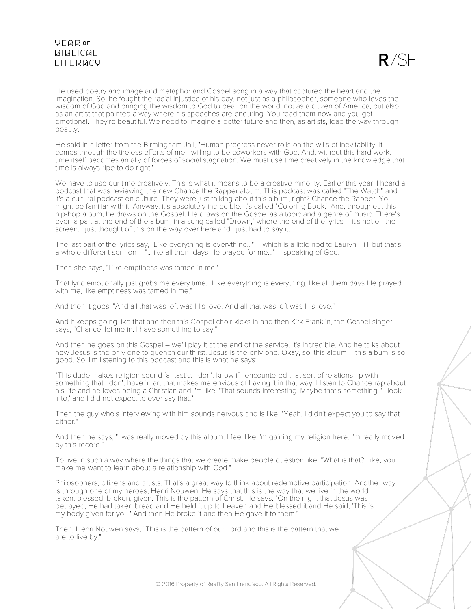

He used poetry and image and metaphor and Gospel song in a way that captured the heart and the imagination. So, he fought the racial injustice of his day, not just as a philosopher, someone who loves the wisdom of God and bringing the wisdom to God to bear on the world, not as a citizen of America, but also as an artist that painted a way where his speeches are enduring. You read them now and you get emotional. They're beautiful. We need to imagine a better future and then, as artists, lead the way through beauty.

He said in a letter from the Birmingham Jail, "Human progress never rolls on the wills of inevitability. It comes through the tireless efforts of men willing to be coworkers with God. And, without this hard work, time itself becomes an ally of forces of social stagnation. We must use time creatively in the knowledge that time is always ripe to do right."

We have to use our time creatively. This is what it means to be a creative minority. Earlier this year, I heard a podcast that was reviewing the new Chance the Rapper album. This podcast was called "The Watch" and it's a cultural podcast on culture. They were just talking about this album, right? Chance the Rapper. You might be familiar with it. Anyway, it's absolutely incredible. It's called "Coloring Book." And, throughout this hip-hop album, he draws on the Gospel. He draws on the Gospel as a topic and a genre of music. There's even a part at the end of the album, in a song called "Drown," where the end of the lyrics – it's not on the screen. I just thought of this on the way over here and I just had to say it.

The last part of the lyrics say, "Like everything is everything..." – which is a little nod to Lauryn Hill, but that's a whole different sermon – "...like all them days He prayed for me..." – speaking of God.

Then she says, "Like emptiness was tamed in me."

That lyric emotionally just grabs me every time. "Like everything is everything, like all them days He prayed with me, like emptiness was tamed in me."

And then it goes, "And all that was left was His love. And all that was left was His love."

And it keeps going like that and then this Gospel choir kicks in and then Kirk Franklin, the Gospel singer, says, "Chance, let me in. I have something to say."

And then he goes on this Gospel – we'll play it at the end of the service. It's incredible. And he talks about how Jesus is the only one to quench our thirst. Jesus is the only one. Okay, so, this album – this album is so good. So, I'm listening to this podcast and this is what he says:

"This dude makes religion sound fantastic. I don't know if I encountered that sort of relationship with something that I don't have in art that makes me envious of having it in that way. I listen to Chance rap about his life and he loves being a Christian and I'm like, 'That sounds interesting. Maybe that's something I'll look into,' and I did not expect to ever say that."

Then the guy who's interviewing with him sounds nervous and is like, "Yeah. I didn't expect you to say that either."

And then he says, "I was really moved by this album. I feel like I'm gaining my religion here. I'm really moved by this record."

To live in such a way where the things that we create make people question like, "What is that? Like, you make me want to learn about a relationship with God."

Philosophers, citizens and artists. That's a great way to think about redemptive participation. Another way is through one of my heroes, Henri Nouwen. He says that this is the way that we live in the world: taken, blessed, broken, given. This is the pattern of Christ. He says, "On the night that Jesus was betrayed, He had taken bread and He held it up to heaven and He blessed it and He said, 'This is my body given for you.' And then He broke it and then He gave it to them."

Then, Henri Nouwen says, "This is the pattern of our Lord and this is the pattern that we are to live by."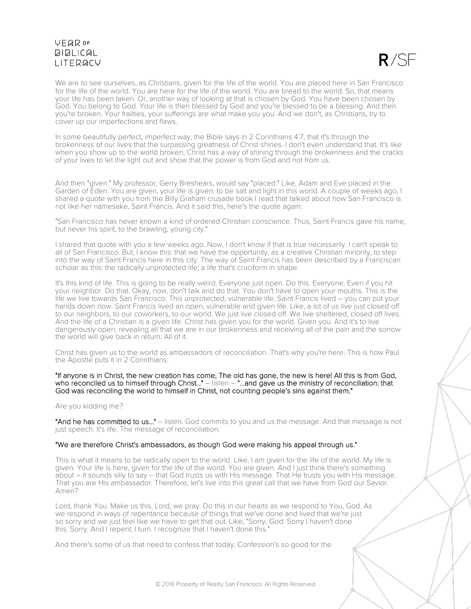

We are to see ourselves, as Christians, given for the life of the world. You are placed here in San Francisco for the life of the world. You are here for the life of the world. You are bread to the world. So, that means your life has been taken. Or, another way of looking at that is chosen by God. You have been chosen by God. You belong to God. Your life is then blessed by God and you're blessed to be a blessing. And then you're broken. Your frailties, your sufferings are what make you you. And we don't, as Christians, try to cover up our imperfections and flaws.

In some beautifully perfect, imperfect way, the Bible says in 2 Corinthians 4:7, that it's through the brokenness of our lives that the surpassing greatness of Christ shines. I don't even understand that. It's like when you show up to the world broken, Christ has a way of shining through the brokenness and the cracks of your lives to let the light out and show that the power is from God and not from us.

And then "given." My professor, Gerry Breshears, would say "placed." Like, Adam and Eve placed in the Garden of Eden. You are given, your life is given, to be salt and light in this world. A couple of weeks ago, I shared a quote with you from the Billy Graham crusade book I read that talked about how San Francisco is not like her namesake, Saint Francis. And it said this, here's the quote again:

"San Francisco has never known a kind of ordered Christian conscience. Thus, Saint Francis gave his name, but never his spirit, to the brawling, young city."

I shared that quote with you a few weeks ago. Now, I don't know if that is true necessarily. I can't speak to all of San Francisco. But, I know this: that we have the opportunity, as a creative Christian minority, to step into the way of Saint Francis here in this city. The way of Saint Francis has been described by a Franciscan scholar as this: the radically unprotected life; a life that's cruciform in shape.

It's this kind of life. This is going to be really weird. Everyone just open. Do this. Everyone. Even if you hit your neighbor. Do that. Okay, now, don't talk and do that. You don't have to open your mouths. This is the life we live towards San Francisco. This unprotected, vulnerable life. Saint Francis lived – you can put your hands down now. Saint Francis lived an open, vulnerable and given life. Like, a lot of us live just closed off to our neighbors, to our coworkers, to our world. We just live closed off. We live sheltered, closed off lives. And the life of a Christian is a given life. Christ has given you for the world. Given you. And it's to live dangerously open, revealing all that we are in our brokenness and receiving all of the pain and the sorrow the world will give back in return. All of it.

Christ has given us to the world as ambassadors of reconciliation. That's why you're here. This is how Paul the Apostle puts it in 2 Corinthians:

"If anyone is in Christ, the new creation has come; The old has gone, the new is here! All this is from God, who reconciled us to himself through Christ..." – listen – "...and gave us the ministry of reconciliation: that God was reconciling the world to himself in Christ, not counting people's sins against them."

Are you kidding me?

"And he has committed to us..." – listen. God commits to you and us the message. And that message is not just speech. It's life. The message of reconciliation.

#### "We are therefore Christ's ambassadors, as though God were making his appeal through us."

This is what it means to be radically open to the world. Like, I am given for the life of the world. My life is given. Your life is here, given for the life of the world. You are given. And I just think there's something about – it sounds silly to say – that God trusts us with His message. That He trusts you with His message. That you are His ambassador. Therefore, let's live into this great call that we have from God our Savior. Amen?

Lord, thank You. Make us this, Lord, we pray. Do this in our hearts as we respond to You, God. As we respond in ways of repentance because of things that we've done and lived that we're just so sorry and we just feel like we have to get that out. Like, "Sorry, God. Sorry I haven't done this. Sorry. And I repent. I turn. I recognize that I haven't done this."

And there's some of us that need to confess that today. Confession's so good for the